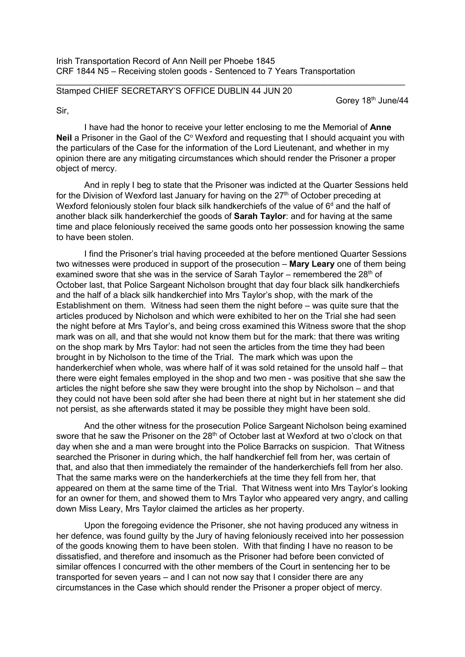## $\_$  , and the set of the set of the set of the set of the set of the set of the set of the set of the set of the set of the set of the set of the set of the set of the set of the set of the set of the set of the set of th Stamped CHIEF SECRETARY'S OFFICE DUBLIN 44 JUN 20

Gorey 18<sup>th</sup> June/44

Sir,

I have had the honor to receive your letter enclosing to me the Memorial of **Anne Neil** a Prisoner in the Gaol of the C<sup>°</sup> Wexford and requesting that I should acquaint you with the particulars of the Case for the information of the Lord Lieutenant, and whether in my opinion there are any mitigating circumstances which should render the Prisoner a proper object of mercy.

And in reply I beg to state that the Prisoner was indicted at the Quarter Sessions held for the Division of Wexford last January for having on the  $27<sup>th</sup>$  of October preceding at Wexford feloniously stolen four black silk handkerchiefs of the value of  $6<sup>d</sup>$  and the half of another black silk handerkerchief the goods of **Sarah Taylor**: and for having at the same time and place feloniously received the same goods onto her possession knowing the same to have been stolen.

I find the Prisoner's trial having proceeded at the before mentioned Quarter Sessions two witnesses were produced in support of the prosecution – **Mary Leary** one of them being examined swore that she was in the service of Sarah Taylor – remembered the  $28<sup>th</sup>$  of October last, that Police Sargeant Nicholson brought that day four black silk handkerchiefs and the half of a black silk handkerchief into Mrs Taylor's shop, with the mark of the Establishment on them. Witness had seen them the night before – was quite sure that the articles produced by Nicholson and which were exhibited to her on the Trial she had seen the night before at Mrs Taylor's, and being cross examined this Witness swore that the shop mark was on all, and that she would not know them but for the mark: that there was writing on the shop mark by Mrs Taylor: had not seen the articles from the time they had been brought in by Nicholson to the time of the Trial. The mark which was upon the handerkerchief when whole, was where half of it was sold retained for the unsold half – that there were eight females employed in the shop and two men - was positive that she saw the articles the night before she saw they were brought into the shop by Nicholson – and that they could not have been sold after she had been there at night but in her statement she did not persist, as she afterwards stated it may be possible they might have been sold.

And the other witness for the prosecution Police Sargeant Nicholson being examined swore that he saw the Prisoner on the 28<sup>th</sup> of October last at Wexford at two o'clock on that day when she and a man were brought into the Police Barracks on suspicion. That Witness searched the Prisoner in during which, the half handkerchief fell from her, was certain of that, and also that then immediately the remainder of the handerkerchiefs fell from her also. That the same marks were on the handerkerchiefs at the time they fell from her, that appeared on them at the same time of the Trial. That Witness went into Mrs Taylor's looking for an owner for them, and showed them to Mrs Taylor who appeared very angry, and calling down Miss Leary, Mrs Taylor claimed the articles as her property.

Upon the foregoing evidence the Prisoner, she not having produced any witness in her defence, was found guilty by the Jury of having feloniously received into her possession of the goods knowing them to have been stolen. With that finding I have no reason to be dissatisfied, and therefore and insomuch as the Prisoner had before been convicted of similar offences I concurred with the other members of the Court in sentencing her to be transported for seven years – and I can not now say that I consider there are any circumstances in the Case which should render the Prisoner a proper object of mercy.